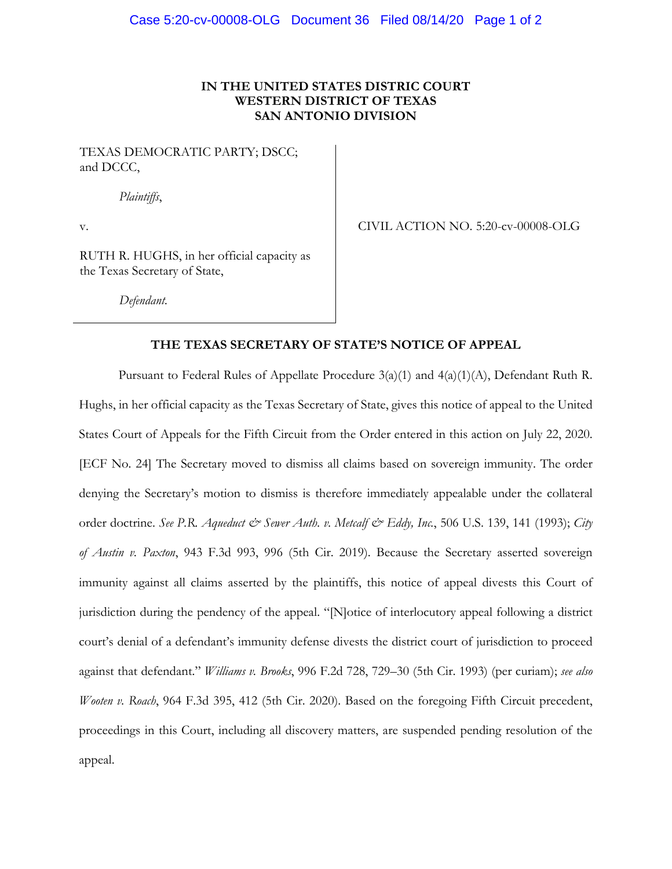## **IN THE UNITED STATES DISTRIC COURT WESTERN DISTRICT OF TEXAS SAN ANTONIO DIVISION**

TEXAS DEMOCRATIC PARTY; DSCC; and DCCC,

*Plaintiffs*,

v.

CIVIL ACTION NO. 5:20-cv-00008-OLG

RUTH R. HUGHS, in her official capacity as the Texas Secretary of State,

*Defendant.*

### **THE TEXAS SECRETARY OF STATE'S NOTICE OF APPEAL**

Pursuant to Federal Rules of Appellate Procedure 3(a)(1) and 4(a)(1)(A), Defendant Ruth R. Hughs, in her official capacity as the Texas Secretary of State, gives this notice of appeal to the United States Court of Appeals for the Fifth Circuit from the Order entered in this action on July 22, 2020. [ECF No. 24] The Secretary moved to dismiss all claims based on sovereign immunity. The order denying the Secretary's motion to dismiss is therefore immediately appealable under the collateral order doctrine. See P.R. *Aqueduct & Sewer Auth. v. Metcalf & Eddy*, Inc., 506 U.S. 139, 141 (1993); *City of Austin v. Paxton*, 943 F.3d 993, 996 (5th Cir. 2019). Because the Secretary asserted sovereign immunity against all claims asserted by the plaintiffs, this notice of appeal divests this Court of jurisdiction during the pendency of the appeal. "[N]otice of interlocutory appeal following a district court's denial of a defendant's immunity defense divests the district court of jurisdiction to proceed against that defendant." *Williams v. Brooks*, 996 F.2d 728, 729–30 (5th Cir. 1993) (per curiam); *see also Wooten v. Roach*, 964 F.3d 395, 412 (5th Cir. 2020). Based on the foregoing Fifth Circuit precedent, proceedings in this Court, including all discovery matters, are suspended pending resolution of the appeal.